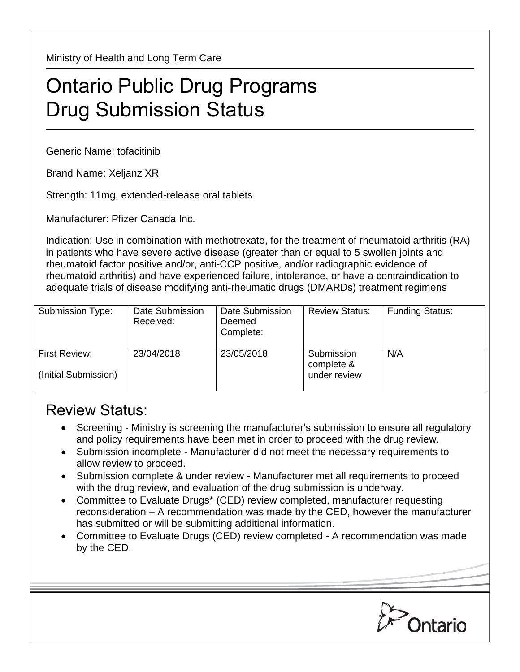Ministry of Health and Long Term Care

## Ontario Public Drug Programs Drug Submission Status

Generic Name: tofacitinib

Brand Name: Xeljanz XR

Strength: 11mg, extended-release oral tablets

Manufacturer: Pfizer Canada Inc.

Indication: Use in combination with methotrexate, for the treatment of rheumatoid arthritis (RA) in patients who have severe active disease (greater than or equal to 5 swollen joints and rheumatoid factor positive and/or, anti-CCP positive, and/or radiographic evidence of rheumatoid arthritis) and have experienced failure, intolerance, or have a contraindication to adequate trials of disease modifying anti-rheumatic drugs (DMARDs) treatment regimens

| Submission Type:                      | Date Submission<br>Received: | Date Submission<br>Deemed<br>Complete: | <b>Review Status:</b>                    | <b>Funding Status:</b> |
|---------------------------------------|------------------------------|----------------------------------------|------------------------------------------|------------------------|
| First Review:<br>(Initial Submission) | 23/04/2018                   | 23/05/2018                             | Submission<br>complete &<br>under review | N/A                    |

## Review Status:

- Screening Ministry is screening the manufacturer's submission to ensure all regulatory and policy requirements have been met in order to proceed with the drug review.
- Submission incomplete Manufacturer did not meet the necessary requirements to allow review to proceed.
- Submission complete & under review Manufacturer met all requirements to proceed with the drug review, and evaluation of the drug submission is underway.
- Committee to Evaluate Drugs\* (CED) review completed, manufacturer requesting reconsideration – A recommendation was made by the CED, however the manufacturer has submitted or will be submitting additional information.
- Committee to Evaluate Drugs (CED) review completed A recommendation was made by the CED.